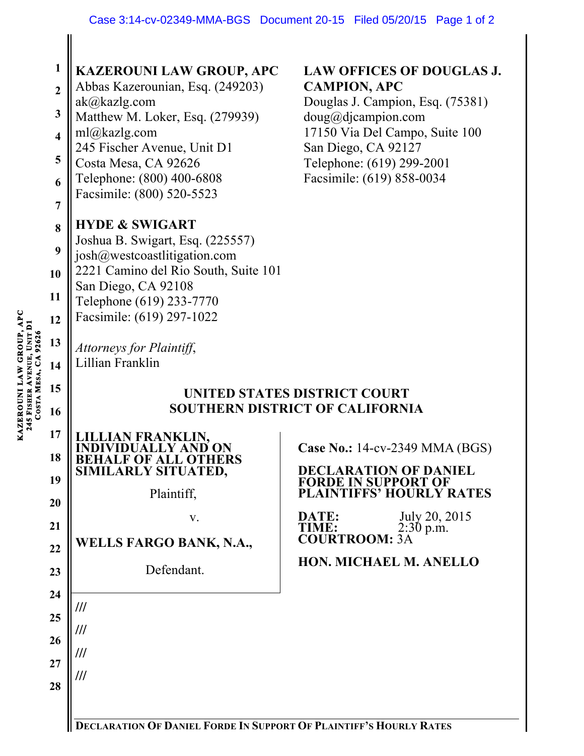| <b>SOUTHERN DISTRICT OF CALIFORNIA</b><br>16<br>17<br>JAN FRANKLIN,<br><b>Case No.: 14-cv-2349 MMA (BGS)</b><br>D ON<br>18<br>F OF ALL O'I<br><b>DECLARATION OF DANIEL</b><br>SIMILARLY SITUATED,<br>19<br><b>FORDE IN SUPPORT OF</b><br>Plaintiff,<br><b>PLAINTIFFS' HOURLY RATES</b><br>20<br>July 20, 2015<br>DATE:<br>V.<br>21<br>$2:30 \text{ p.m.}$<br>TIME:<br><b>COURTROOM:</b><br>WELLS FARGO BANK, N.A.,<br>22<br>HON. MICHAEL M. ANELLO<br>Defendant.<br>23<br>24<br>$^{\prime\prime\prime}$<br>25<br>///<br>26<br>///<br>27<br>$^{\prime\prime\prime}$<br>28 | 92626<br>COSTA MESA, CA | $\mathbf{1}$<br>$\overline{2}$<br>$\mathbf{3}$<br>$\overline{\mathbf{4}}$<br>5<br>6<br>$\overline{7}$<br>8<br>9<br>10<br>11<br>12<br>13<br>14<br>15 | <b>KAZEROUNI LAW GROUP, APC</b><br>Abbas Kazerounian, Esq. (249203)<br>ak@kazlg.com<br>Matthew M. Loker, Esq. (279939)<br>ml@kazlg.com<br>245 Fischer Avenue, Unit D1<br>Costa Mesa, CA 92626<br>Telephone: (800) 400-6808<br>Facsimile: (800) 520-5523<br><b>HYDE &amp; SWIGART</b><br>Joshua B. Swigart, Esq. (225557)<br>josh@westcoastlitigation.com<br>2221 Camino del Rio South, Suite 101<br>San Diego, CA 92108<br>Telephone (619) 233-7770<br>Facsimile: (619) 297-1022<br>Attorneys for Plaintiff,<br>Lillian Franklin | <b>LAW OFFICES OF DOUGLAS J.</b><br><b>CAMPION, APC</b><br>Douglas J. Campion, Esq. (75381)<br>$doug@di$ campion.com<br>17150 Via Del Campo, Suite 100<br>San Diego, CA 92127<br>Telephone: (619) 299-2001<br>Facsimile: (619) 858-0034 |  |
|--------------------------------------------------------------------------------------------------------------------------------------------------------------------------------------------------------------------------------------------------------------------------------------------------------------------------------------------------------------------------------------------------------------------------------------------------------------------------------------------------------------------------------------------------------------------------|-------------------------|-----------------------------------------------------------------------------------------------------------------------------------------------------|----------------------------------------------------------------------------------------------------------------------------------------------------------------------------------------------------------------------------------------------------------------------------------------------------------------------------------------------------------------------------------------------------------------------------------------------------------------------------------------------------------------------------------|-----------------------------------------------------------------------------------------------------------------------------------------------------------------------------------------------------------------------------------------|--|
|                                                                                                                                                                                                                                                                                                                                                                                                                                                                                                                                                                          |                         |                                                                                                                                                     | UNITED STATES DISTRICT COURT                                                                                                                                                                                                                                                                                                                                                                                                                                                                                                     |                                                                                                                                                                                                                                         |  |
|                                                                                                                                                                                                                                                                                                                                                                                                                                                                                                                                                                          |                         |                                                                                                                                                     |                                                                                                                                                                                                                                                                                                                                                                                                                                                                                                                                  |                                                                                                                                                                                                                                         |  |

KAZEROUNI LAW GROUP, APC<br>245 FISHER AVENUE, UNIT DI **KAZEROUNI LAW GROUP, APC AVENUE, UNIT D1 A 92626 MESA, C 245 FISHER COSTA** 

 $\parallel$ 

**DECLARATION OF DANIEL FORDE IN SUPPORT OF PLAINTIFF'S HOURLY RATES**